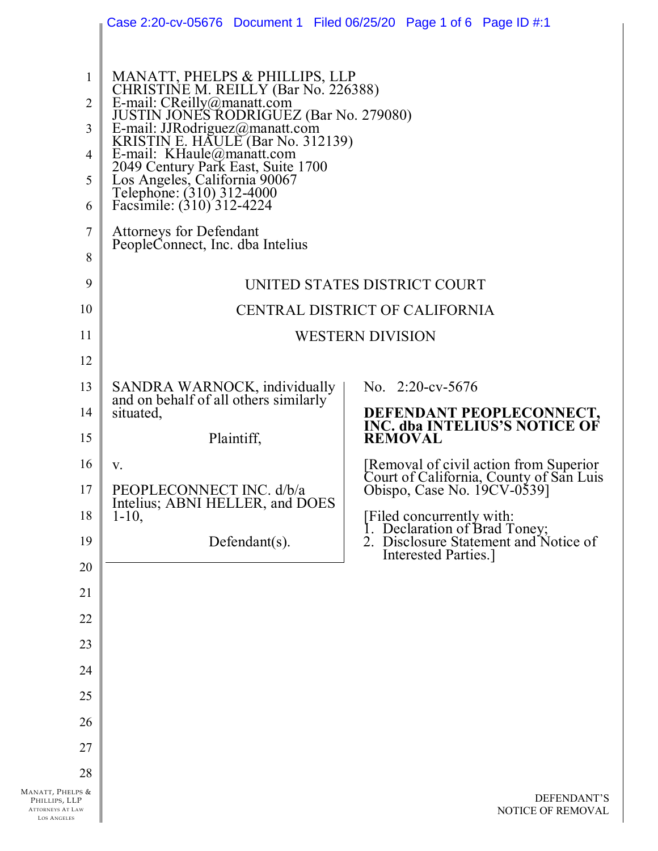|                                                                                    | Case 2:20-cv-05676 Document 1 Filed 06/25/20 Page 1 of 6 Page ID #:1                                                                                       |                                                                                                                                    |
|------------------------------------------------------------------------------------|------------------------------------------------------------------------------------------------------------------------------------------------------------|------------------------------------------------------------------------------------------------------------------------------------|
|                                                                                    |                                                                                                                                                            |                                                                                                                                    |
| $\mathbf{1}$                                                                       | MANATT, PHELPS & PHILLIPS, LLP<br>CHRISTINE M. REILLY (Bar No. 226388)<br>E-mail: CReilly@manatt.com                                                       |                                                                                                                                    |
| $\overline{2}$                                                                     | <b>JUSTIN JONES RODRIGUEZ (Bar No. 279080)</b>                                                                                                             |                                                                                                                                    |
| 3                                                                                  | E-mail: JJRodriguez@manatt.com<br>KRISTIN E. HAULE (Bar No. 312139)                                                                                        |                                                                                                                                    |
| 4                                                                                  |                                                                                                                                                            |                                                                                                                                    |
| 5                                                                                  |                                                                                                                                                            |                                                                                                                                    |
| 6                                                                                  | E-mail: KHaule@manatt.com<br>2049 Century Park East, Suite 1700<br>Los Angeles, California 90067<br>Telephone: (310) 312-4000<br>Facsimile: (310) 312-4224 |                                                                                                                                    |
| $\tau$                                                                             | <b>Attorneys for Defendant</b><br>PeopleConnect, Inc. dba Intelius                                                                                         |                                                                                                                                    |
| 8                                                                                  |                                                                                                                                                            |                                                                                                                                    |
| 9                                                                                  |                                                                                                                                                            | UNITED STATES DISTRICT COURT                                                                                                       |
| 10                                                                                 | CENTRAL DISTRICT OF CALIFORNIA                                                                                                                             |                                                                                                                                    |
| 11                                                                                 | <b>WESTERN DIVISION</b>                                                                                                                                    |                                                                                                                                    |
| 12                                                                                 |                                                                                                                                                            |                                                                                                                                    |
| 13                                                                                 | SANDRA WARNOCK, individually                                                                                                                               | No. $2:20$ -cv-5676                                                                                                                |
| 14                                                                                 | and on behalf of all others similarly<br>situated,                                                                                                         | <b>DEFENDANT PEOPLECONNECT,<br/>INC. dba INTELIUS'S NOTICE OF</b>                                                                  |
| 15                                                                                 | Plaintiff,                                                                                                                                                 | <b>REMOVAL</b>                                                                                                                     |
| 16                                                                                 | V.                                                                                                                                                         | [Removal of civil action from Superior<br>Court of California, County of San Luis                                                  |
| 17                                                                                 | PEOPLECONNECT INC. d/b/a<br>Intelius; ABNI HELLER, and DOES                                                                                                | Obispo, Case No. 19CV-0539]                                                                                                        |
| 18                                                                                 | $1 - 10$ ,                                                                                                                                                 |                                                                                                                                    |
| 19                                                                                 | Defendant $(s)$ .                                                                                                                                          | [Filed concurrently with:<br>1. Declaration of Brad Toney;<br>2. Disclosure Statement and Notice of<br><b>Interested Parties.]</b> |
| 20                                                                                 |                                                                                                                                                            |                                                                                                                                    |
| 21                                                                                 |                                                                                                                                                            |                                                                                                                                    |
| 22                                                                                 |                                                                                                                                                            |                                                                                                                                    |
| 23                                                                                 |                                                                                                                                                            |                                                                                                                                    |
| 24                                                                                 |                                                                                                                                                            |                                                                                                                                    |
| 25                                                                                 |                                                                                                                                                            |                                                                                                                                    |
| 26                                                                                 |                                                                                                                                                            |                                                                                                                                    |
| 27                                                                                 |                                                                                                                                                            |                                                                                                                                    |
| 28                                                                                 |                                                                                                                                                            |                                                                                                                                    |
| MANATT, PHELPS &<br>PHILLIPS, LLP<br><b>ATTORNEYS AT LAW</b><br><b>LOS ANGELES</b> |                                                                                                                                                            | DEFENDANT'S<br>NOTICE OF REMOVAL                                                                                                   |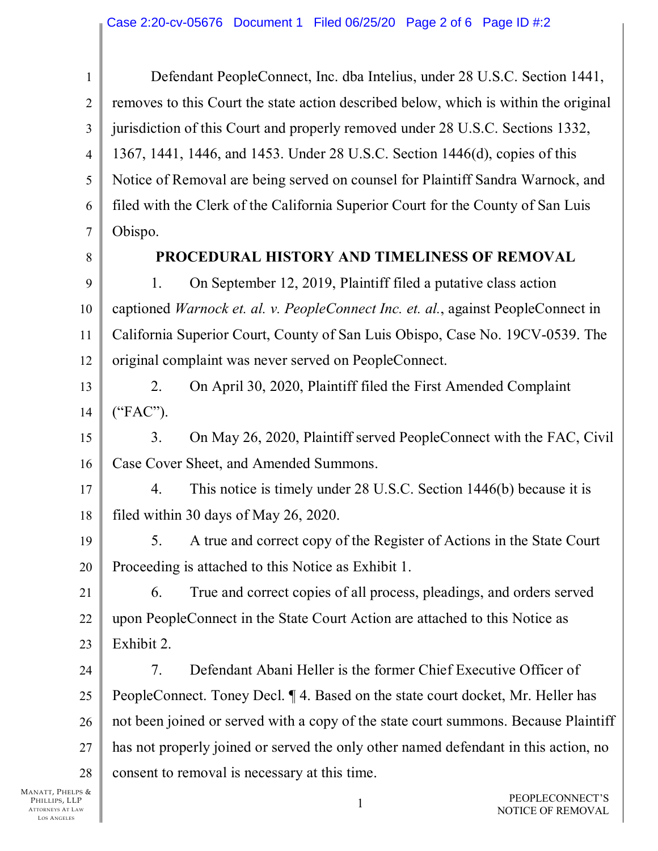$\mathbf{1}$  $\overline{2}$ 3  $\overline{4}$ 5 6  $\overline{7}$ Defendant PeopleConnect, Inc. dba Intelius, under 28 U.S.C. Section 1441, removes to this Court the state action described below, which is within the original jurisdiction of this Court and properly removed under 28 U.S.C. Sections 1332, 1367, 1441, 1446, and 1453. Under 28 U.S.C. Section 1446(d), copies of this Notice of Removal are being served on counsel for Plaintiff Sandra Warnock, and filed with the Clerk of the California Superior Court for the County of San Luis Obispo.

8

## **PROCEDURAL HISTORY AND TIMELINESS OF REMOVAL**

9 10 11 12 1. On September 12, 2019, Plaintiff filed a putative class action reaptioned *Warnock et. al. v. PeopleConnect Inc. et. al.*, against PeopleConnect in California Superior Court, County of San Luis Obispo, Case No. 19CV-0539. The original complaint was never served on PeopleConnect.

13 14 2. On April 30, 2020, Plaintiff filed the First Amended Complaint  $($ " $FAC$ " $).$ 

15 16 3. On May 26, 2020, Plaintiff served PeopleConnect with the FAC, Civil Case Cover Sheet, and Amended Summons.

17 18 4. This notice is timely under 28 U.S.C. Section 1446(b) because it is filed within 30 days of May 26, 2020.

19 20 5. A true and correct copy of the Register of Actions in the State Court Proceeding is attached to this Notice as Exhibit 1.

21 22 23 6. True and correct copies of all process, pleadings, and orders served upon PeopleConnect in the State Court Action are attached to this Notice as Exhibit 2.

24 25 26 27 28 7. Defendant Abani Heller is the former Chief Executive Officer of PeopleConnect. Toney Decl.  $\P$  4. Based on the state court docket, Mr. Heller has not been joined or served with a copy of the state court summons. Because Plaintiff has not properly joined or served the only other named defendant in this action, no consent to removal is necessary at this time.

MANATT, PHELPS & PHILLIPS, LLP ATTORNEYS AT LAW LOS ANGELES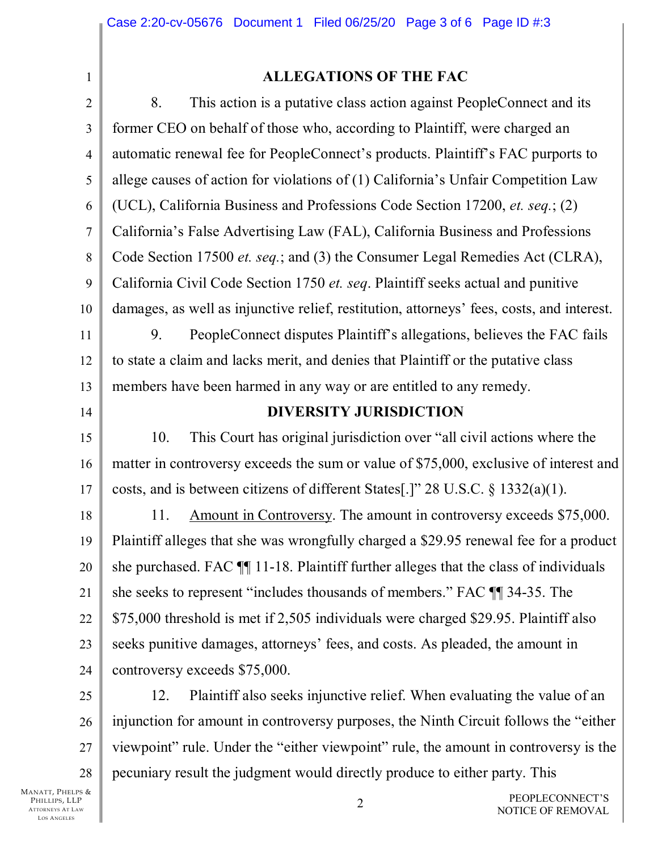$\mathbf{1}$ 

## **ALLEGATIONS OF THE FAC**

8. This action is a putative class action against PeopleConnect and its  $\overline{2}$ former CEO on behalf of those who, according to Plaintiff, were charged an 3 automatic renewal fee for PeopleConnect's products. Plaintiff's FAC purports to  $\overline{4}$ allege causes of action for violations of (1) California's Unfair Competition Law 5 6 (UCL), California Business and Professions Code Section 17200, *et. seq.*; (2) California's False Advertising Law (FAL), California Business and Professions  $\overline{7}$ Code Section 17500 *et. seq.*; and (3) the Consumer Legal Remedies Act (CLRA), 8 9 California Civil Code Section 1750 *et. seq.* Plaintiff seeks actual and punitive damages, as well as injunctive relief, restitution, attorneys' fees, costs, and interest. 10 PeopleConnect disputes Plaintiff's allegations, believes the FAC fails 9. 11 to state a claim and lacks merit, and denies that Plaintiff or the putative class 12 members have been harmed in any way or are entitled to any remedy. 13 **DIVERSITY JURISDICTION** 14 10. This Court has original jurisdiction over "all civil actions where the 15 matter in controversy exceeds the sum or value of \$75,000, exclusive of interest and 16 costs, and is between citizens of different States [.]"  $28 \text{ U.S.C.} \$   $332(a)(1)$ . 17 Amount in Controversy. The amount in controversy exceeds \$75,000. 11. 18 Plaintiff alleges that she was wrongfully charged a \$29.95 renewal fee for a product 19 she purchased. FAC  $\P$  11-18. Plaintiff further alleges that the class of individuals 20 she seeks to represent "includes thousands of members." FAC TI 34-35. The 21 \$75,000 threshold is met if 2,505 individuals were charged \$29.95. Plaintiff also 22 23 seeks punitive damages, attorneys' fees, and costs. As pleaded, the amount in controversy exceeds \$75,000. 24 12. Plaint iff also seeks in junctive relief. When evaluating the value of an 25 injunction for amount in controversy purposes, the Ninth Circuit follows the "either" 26

viewpoint" rule. Under the "either viewpoint" rule, the amount in controversy is the 27 pecuniary result the judgment would directly produce to either party. This 28

MANATT, PHELPS & PHILLIPS, LLP **ATTORNEYS AT LAW LOS ANGELES**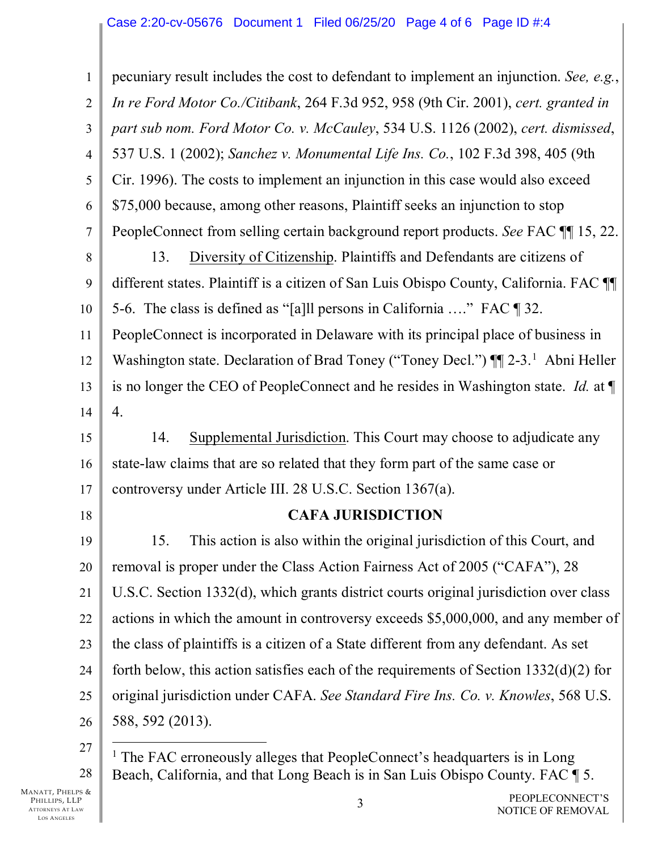$\mathbf{1}$ pecuniary result includes the cost to defendant to implement an injunction. See, e.g., In re Ford Motor Co./Citibank, 264 F.3d 952, 958 (9th Cir. 2001), cert. granted in  $\overline{2}$ part sub nom. Ford Motor Co. v. McCauley, 534 U.S. 1126 (2002), cert. dismissed, 3 537 U.S. 1 (2002); Sanchez v. Monumental Life Ins. Co., 102 F.3d 398, 405 (9th  $\overline{4}$ Cir. 1996). The costs to implement an injunction in this case would also exceed 5 6 \$75,000 because, among other reasons, Plaintiff seeks an injunction to stop PeopleConnect from selling certain background report products. See FAC TI 15, 22.  $\overline{7}$ 13. Diversity of Citizenship. Plaintiffs and Defendants are citizens of 8 different states. Plaintiff is a citizen of San Luis Obispo County, California. FAC T 9 5-6. The class is defined as "[a] persons in California ...." FAC [9] 32. 10 PeopleConnect is incorporated in Delaware with its principal place of business in 11 Washington state. Declaration of Brad Toney ("Toney Decl.") ¶ 2-3.<sup>1</sup> Abni Heller 12 is no longer the CEO of PeopleConnect and he resides in Washington state. Id. at ¶ 13 4. 14 14. Supplemental Jurisdiction. This Court may choose to adjudicate any 15 state-law claims that are so related that they form part of the same case or 16 controversy under Article III. 28 U.S.C. Section 1367(a). 17 **CAFA JURISDICTION** 18 15. This action is also within the original jurisdiction of this Court, and 19 removal is proper under the Class Action Fairness Act of 2005 ("CAFA"), 28 20 U.S.C. Section 1332(d), which grants district courts original jurisdiction over class 21 22 actions in which the amount in controversy exceeds \$5,000,000, and any member of 23 the class of plaintiffs is a citizen of a State different from any defendant. As set forth below, this action satisfies each of the requirements of Section  $1332(d)(2)$  for 24 original jurisdiction under CAFA. See Standard Fire Ins. Co. v. Knowles, 568 U.S. 25 588, 592 (2013). 26 27

<span id="page-3-0"></span><sup>&</sup>lt;sup>1</sup> The FAC erroneously alleges that PeopleConnect's headquarters is in Long Beach, California, and that Long Beach is in San Luis Obispo County. FAC ¶ 5. 28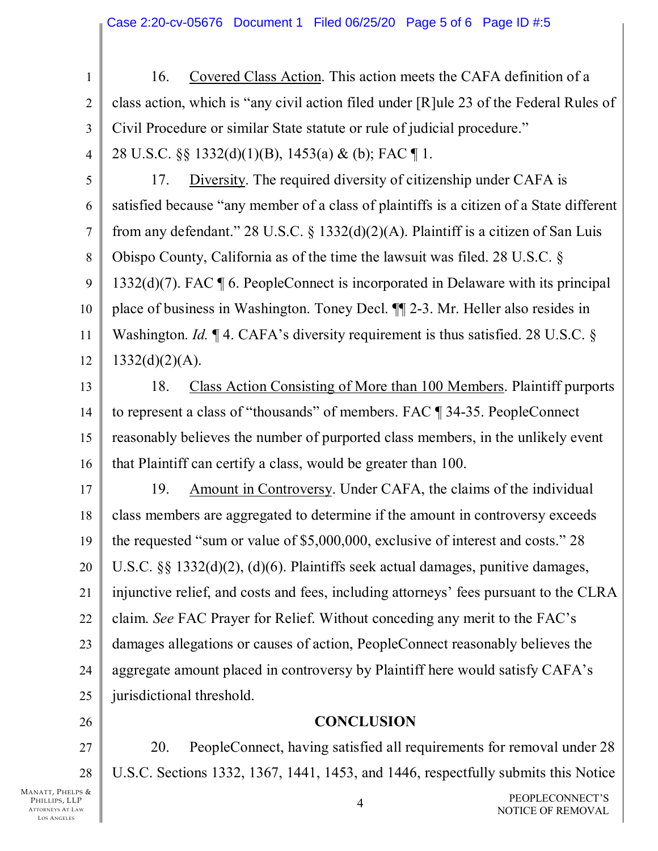$\mathbf{1}$ 16. Covered Class Action. This action meets the CAFA definition of a class action, which is "any civil action filed under [R] ule 23 of the Federal Rules of  $\overline{2}$ Civil Procedure or similar State statute or rule of judicial procedure." 3  $\overline{4}$ 28 U.S.C.  $\S$   $\S$  1332(d)(1)(B), 1453(a) & (b); FAC [1.

5

 $17<sub>1</sub>$ Diversity. The required diversity of citizenship under CAFA is satisfied because "any member of a class of plaintiffs is a citizen of a State different 6 from any defendant." 28 U.S.C.  $\S$  1332(d)(2)(A). Plaintiff is a citizen of San Luis  $\overline{7}$ Obispo County, California as of the time the lawsuit was filed. 28 U.S.C.  $\delta$ 8 9  $1332(d)(7)$ . FAC  $\llbracket 6$ . PeopleConnect is incorporated in Delaware with its principal place of business in Washington. Toney Decl. To 2-3. Mr. Heller also resides in 10 Washington. *Id.*  $\P$  4. CAFA's diversity requirement is thus satisfied. 28 U.S.C. § 11  $1332(d)(2)(A)$ . 12

18. Class Action Consisting of More than 100 Members. Plaintiff purports 13 to represent a class of "thousands" of members. FAC ¶ 34-35. PeopleConnect 14 reasonably believes the number of purported class members, in the unlikely event 15 that Plaintiff can certify a class, would be greater than 100. 16

19. Amount in Controversy. Under CAFA, the claims of the individual 17 class members are aggregated to determine if the amount in controversy exceeds 18 19 the requested "sum or value of \$5,000,000, exclusive of interest and costs." 28 U.S.C.  $\S$   $\S$  1332(d)(2), (d)(6). Plaintiffs seek actual damages, punitive damages, 20 injunctive relief, and costs and fees, including attorneys' fees pursuant to the CLRA 21 claim. See FAC Prayer for Relief. Without conceding any merit to the FAC's 22 damages allegations or causes of action, PeopleConnect reasonably believes the 23 aggregate amount placed in controversy by Plaintiff here would satisfy CAFA's 24 jurisdictional threshold. 25

## **CONCLUSION**

20. PeopleConnect, having satisfied all requirements for removal under 28 U.S.C. Sections 1332, 1367, 1441, 1453, and 1446, respectfully submits this Notice

MANATT, PHELPS & PHILLIPS, LLP **ATTORNEYS AT LAW LOS ANGELES** 

26

27

28